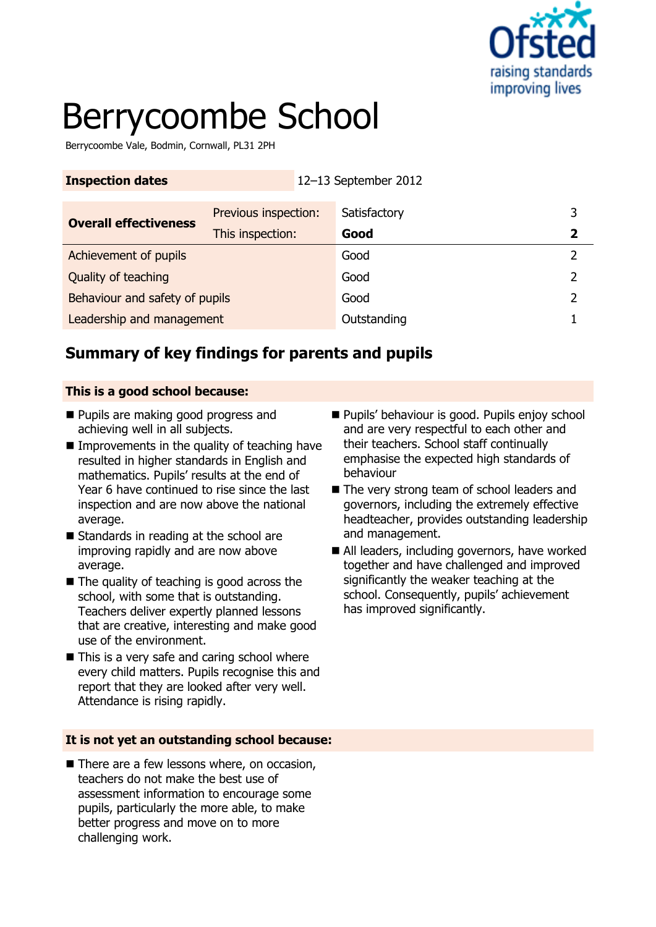

# Berrycoombe School

Berrycoombe Vale, Bodmin, Cornwall, PL31 2PH

| <b>Inspection dates</b>        | 12-13 September 2012 |              |             |
|--------------------------------|----------------------|--------------|-------------|
| <b>Overall effectiveness</b>   | Previous inspection: | Satisfactory | 3           |
|                                | This inspection:     | Good         | $\mathbf 2$ |
| Achievement of pupils          |                      | Good         |             |
| Quality of teaching            |                      | Good         |             |
| Behaviour and safety of pupils |                      | Good         |             |
| Leadership and management      |                      | Outstanding  |             |

## **Summary of key findings for parents and pupils**

#### **This is a good school because:**

- **Pupils are making good progress and** achieving well in all subjects.
- $\blacksquare$  Improvements in the quality of teaching have resulted in higher standards in English and mathematics. Pupils' results at the end of Year 6 have continued to rise since the last inspection and are now above the national average.
- Standards in reading at the school are improving rapidly and are now above average.
- $\blacksquare$  The quality of teaching is good across the school, with some that is outstanding. Teachers deliver expertly planned lessons that are creative, interesting and make good use of the environment.
- $\blacksquare$  This is a very safe and caring school where every child matters. Pupils recognise this and report that they are looked after very well. Attendance is rising rapidly.

#### **It is not yet an outstanding school because:**

■ There are a few lessons where, on occasion, teachers do not make the best use of assessment information to encourage some pupils, particularly the more able, to make better progress and move on to more challenging work.

- Pupils' behaviour is good. Pupils enjoy school and are very respectful to each other and their teachers. School staff continually emphasise the expected high standards of behaviour
- The very strong team of school leaders and governors, including the extremely effective headteacher, provides outstanding leadership and management.
- All leaders, including governors, have worked together and have challenged and improved significantly the weaker teaching at the school. Consequently, pupils' achievement has improved significantly.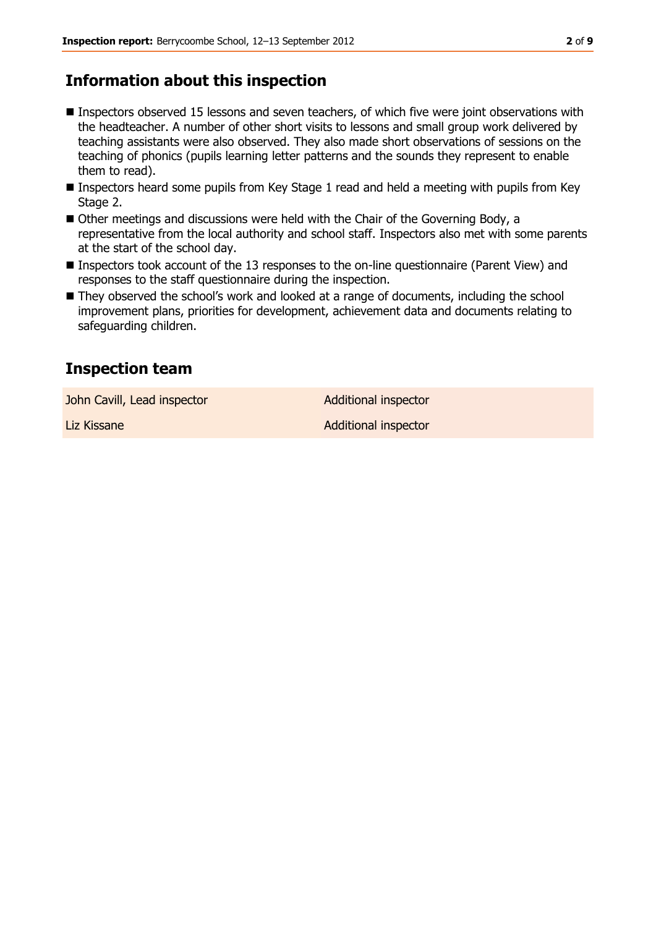## **Information about this inspection**

- Inspectors observed 15 lessons and seven teachers, of which five were joint observations with the headteacher. A number of other short visits to lessons and small group work delivered by teaching assistants were also observed. They also made short observations of sessions on the teaching of phonics (pupils learning letter patterns and the sounds they represent to enable them to read).
- Inspectors heard some pupils from Key Stage 1 read and held a meeting with pupils from Key Stage 2.
- Other meetings and discussions were held with the Chair of the Governing Body, a representative from the local authority and school staff. Inspectors also met with some parents at the start of the school day.
- Inspectors took account of the 13 responses to the on-line questionnaire (Parent View) and responses to the staff questionnaire during the inspection.
- They observed the school's work and looked at a range of documents, including the school improvement plans, priorities for development, achievement data and documents relating to safeguarding children.

## **Inspection team**

John Cavill, Lead inspector and a Additional inspector

Liz Kissane **Additional inspector**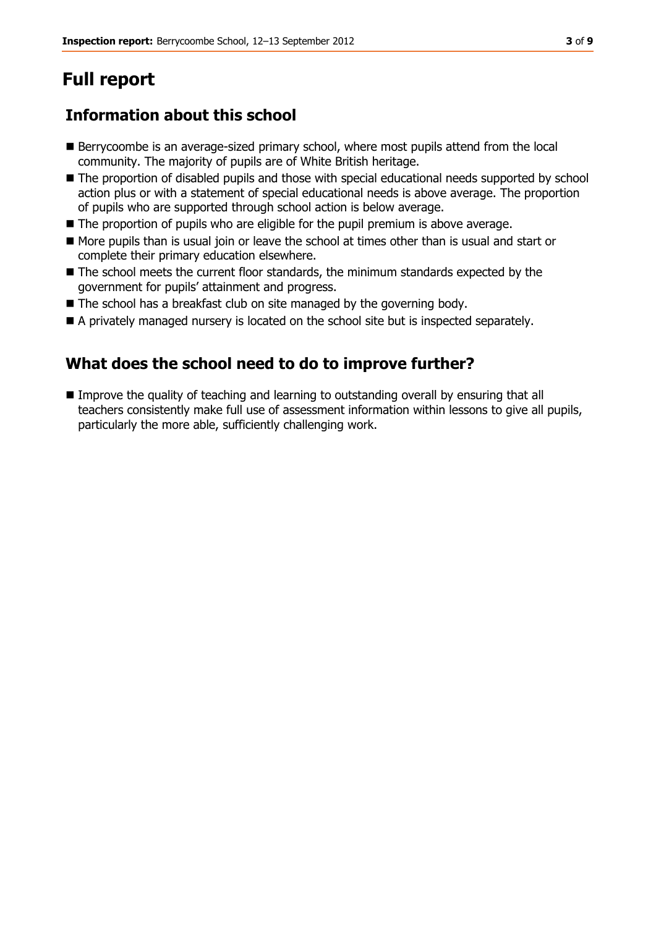## **Full report**

## **Information about this school**

- Berrycoombe is an average-sized primary school, where most pupils attend from the local community. The majority of pupils are of White British heritage.
- The proportion of disabled pupils and those with special educational needs supported by school action plus or with a statement of special educational needs is above average. The proportion of pupils who are supported through school action is below average.
- $\blacksquare$  The proportion of pupils who are eligible for the pupil premium is above average.
- More pupils than is usual join or leave the school at times other than is usual and start or complete their primary education elsewhere.
- The school meets the current floor standards, the minimum standards expected by the government for pupils' attainment and progress.
- $\blacksquare$  The school has a breakfast club on site managed by the governing body.
- A privately managed nursery is located on the school site but is inspected separately.

### **What does the school need to do to improve further?**

 Improve the quality of teaching and learning to outstanding overall by ensuring that all teachers consistently make full use of assessment information within lessons to give all pupils, particularly the more able, sufficiently challenging work.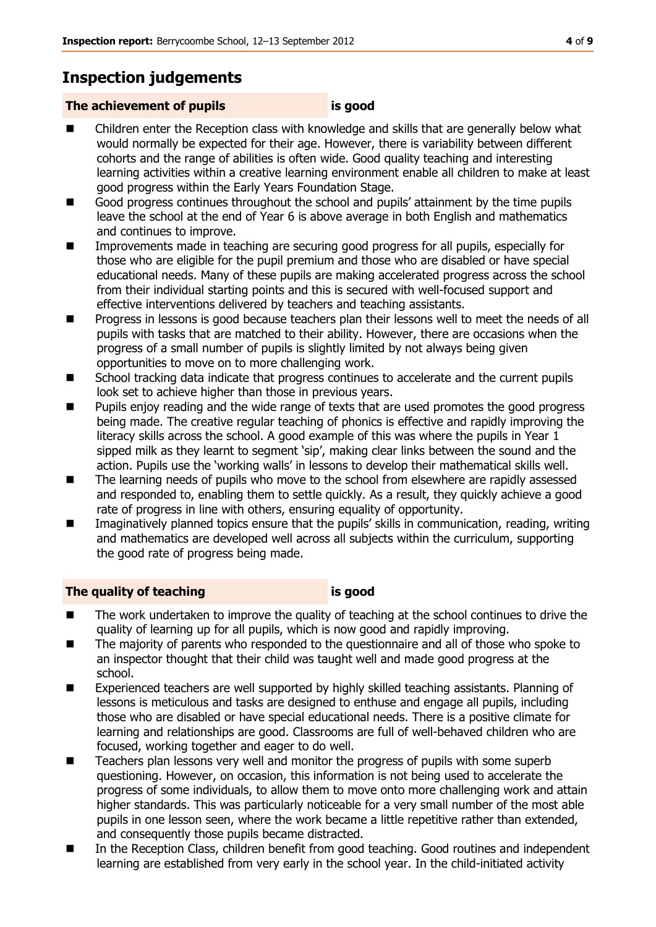## **Inspection judgements**

#### **The achievement of pupils is good**

- Children enter the Reception class with knowledge and skills that are generally below what would normally be expected for their age. However, there is variability between different cohorts and the range of abilities is often wide. Good quality teaching and interesting learning activities within a creative learning environment enable all children to make at least good progress within the Early Years Foundation Stage.
- Good progress continues throughout the school and pupils' attainment by the time pupils leave the school at the end of Year 6 is above average in both English and mathematics and continues to improve.
- **IMPROM** Improvements made in teaching are securing good progress for all pupils, especially for those who are eligible for the pupil premium and those who are disabled or have special educational needs. Many of these pupils are making accelerated progress across the school from their individual starting points and this is secured with well-focused support and effective interventions delivered by teachers and teaching assistants.
- Progress in lessons is good because teachers plan their lessons well to meet the needs of all pupils with tasks that are matched to their ability. However, there are occasions when the progress of a small number of pupils is slightly limited by not always being given opportunities to move on to more challenging work.
- School tracking data indicate that progress continues to accelerate and the current pupils look set to achieve higher than those in previous years.
- Pupils enjoy reading and the wide range of texts that are used promotes the good progress being made. The creative regular teaching of phonics is effective and rapidly improving the literacy skills across the school. A good example of this was where the pupils in Year 1 sipped milk as they learnt to segment 'sip', making clear links between the sound and the action. Pupils use the 'working walls' in lessons to develop their mathematical skills well.
- The learning needs of pupils who move to the school from elsewhere are rapidly assessed and responded to, enabling them to settle quickly. As a result, they quickly achieve a good rate of progress in line with others, ensuring equality of opportunity.
- Imaginatively planned topics ensure that the pupils' skills in communication, reading, writing and mathematics are developed well across all subjects within the curriculum, supporting the good rate of progress being made.

#### **The quality of teaching is good**

- The work undertaken to improve the quality of teaching at the school continues to drive the quality of learning up for all pupils, which is now good and rapidly improving.
- The majority of parents who responded to the questionnaire and all of those who spoke to an inspector thought that their child was taught well and made good progress at the school.
- Experienced teachers are well supported by highly skilled teaching assistants. Planning of lessons is meticulous and tasks are designed to enthuse and engage all pupils, including those who are disabled or have special educational needs. There is a positive climate for learning and relationships are good. Classrooms are full of well-behaved children who are focused, working together and eager to do well.
- Teachers plan lessons very well and monitor the progress of pupils with some superb questioning. However, on occasion, this information is not being used to accelerate the progress of some individuals, to allow them to move onto more challenging work and attain higher standards. This was particularly noticeable for a very small number of the most able pupils in one lesson seen, where the work became a little repetitive rather than extended, and consequently those pupils became distracted.
- In the Reception Class, children benefit from good teaching. Good routines and independent learning are established from very early in the school year. In the child-initiated activity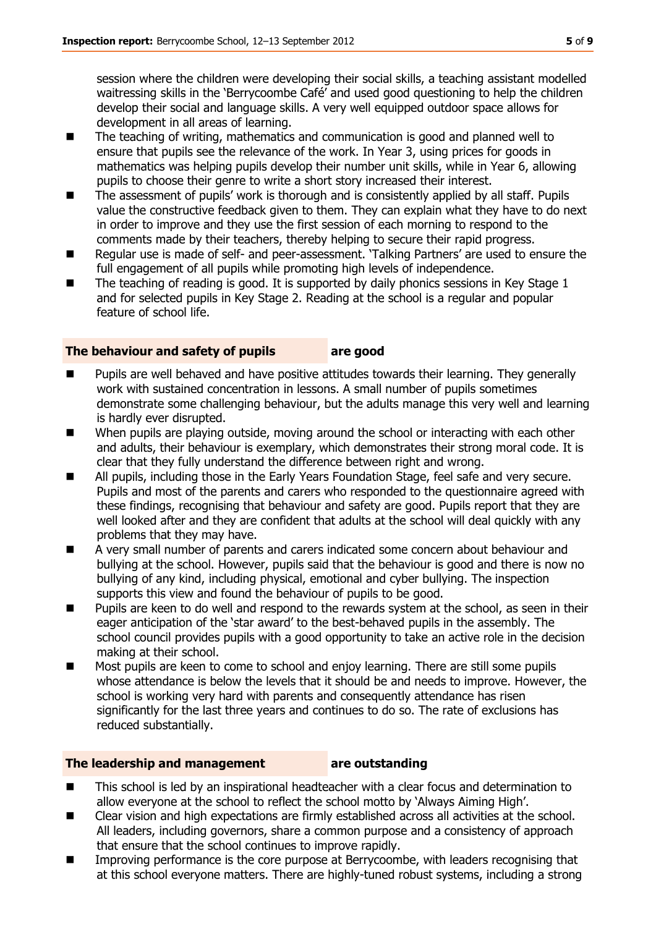session where the children were developing their social skills, a teaching assistant modelled waitressing skills in the 'Berrycoombe Café' and used good questioning to help the children develop their social and language skills. A very well equipped outdoor space allows for development in all areas of learning.

- The teaching of writing, mathematics and communication is good and planned well to ensure that pupils see the relevance of the work. In Year 3, using prices for goods in mathematics was helping pupils develop their number unit skills, while in Year 6, allowing pupils to choose their genre to write a short story increased their interest.
- The assessment of pupils' work is thorough and is consistently applied by all staff. Pupils value the constructive feedback given to them. They can explain what they have to do next in order to improve and they use the first session of each morning to respond to the comments made by their teachers, thereby helping to secure their rapid progress.
- Regular use is made of self- and peer-assessment. 'Talking Partners' are used to ensure the full engagement of all pupils while promoting high levels of independence.
- $\blacksquare$  The teaching of reading is good. It is supported by daily phonics sessions in Key Stage 1 and for selected pupils in Key Stage 2. Reading at the school is a regular and popular feature of school life.

#### **The behaviour and safety of pupils are good**

- Pupils are well behaved and have positive attitudes towards their learning. They generally work with sustained concentration in lessons. A small number of pupils sometimes demonstrate some challenging behaviour, but the adults manage this very well and learning is hardly ever disrupted.
- When pupils are playing outside, moving around the school or interacting with each other and adults, their behaviour is exemplary, which demonstrates their strong moral code. It is clear that they fully understand the difference between right and wrong.
- **All pupils, including those in the Early Years Foundation Stage, feel safe and very secure.** Pupils and most of the parents and carers who responded to the questionnaire agreed with these findings, recognising that behaviour and safety are good. Pupils report that they are well looked after and they are confident that adults at the school will deal quickly with any problems that they may have.
- A very small number of parents and carers indicated some concern about behaviour and bullying at the school. However, pupils said that the behaviour is good and there is now no bullying of any kind, including physical, emotional and cyber bullying. The inspection supports this view and found the behaviour of pupils to be good.
- Pupils are keen to do well and respond to the rewards system at the school, as seen in their eager anticipation of the 'star award' to the best-behaved pupils in the assembly. The school council provides pupils with a good opportunity to take an active role in the decision making at their school.
- **Most pupils are keen to come to school and enjoy learning. There are still some pupils** whose attendance is below the levels that it should be and needs to improve. However, the school is working very hard with parents and consequently attendance has risen significantly for the last three years and continues to do so. The rate of exclusions has reduced substantially.

#### **The leadership and management are outstanding**

- This school is led by an inspirational headteacher with a clear focus and determination to allow everyone at the school to reflect the school motto by 'Always Aiming High'.
- **EXECUTE:** Clear vision and high expectations are firmly established across all activities at the school. All leaders, including governors, share a common purpose and a consistency of approach that ensure that the school continues to improve rapidly.
- **IMPROPIED 1** Improving performance is the core purpose at Berrycoombe, with leaders recognising that at this school everyone matters. There are highly-tuned robust systems, including a strong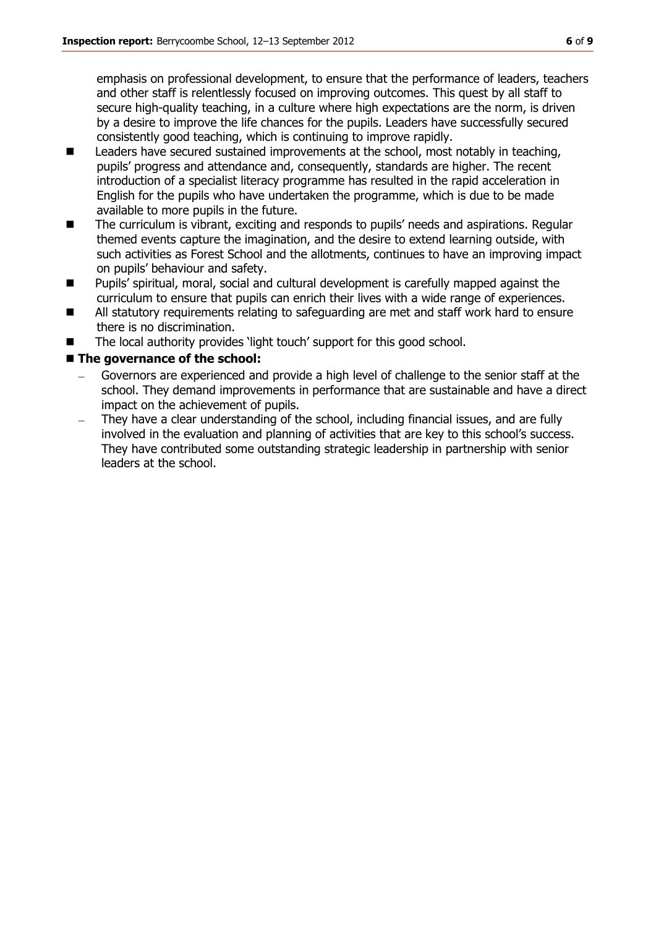emphasis on professional development, to ensure that the performance of leaders, teachers and other staff is relentlessly focused on improving outcomes. This quest by all staff to secure high-quality teaching, in a culture where high expectations are the norm, is driven by a desire to improve the life chances for the pupils. Leaders have successfully secured consistently good teaching, which is continuing to improve rapidly.

- Leaders have secured sustained improvements at the school, most notably in teaching, pupils' progress and attendance and, consequently, standards are higher. The recent introduction of a specialist literacy programme has resulted in the rapid acceleration in English for the pupils who have undertaken the programme, which is due to be made available to more pupils in the future.
- The curriculum is vibrant, exciting and responds to pupils' needs and aspirations. Regular themed events capture the imagination, and the desire to extend learning outside, with such activities as Forest School and the allotments, continues to have an improving impact on pupils' behaviour and safety.
- **Pupils' spiritual, moral, social and cultural development is carefully mapped against the** curriculum to ensure that pupils can enrich their lives with a wide range of experiences.
- All statutory requirements relating to safeguarding are met and staff work hard to ensure there is no discrimination.
- The local authority provides 'light touch' support for this good school.

#### **The governance of the school:**

- Governors are experienced and provide a high level of challenge to the senior staff at the school. They demand improvements in performance that are sustainable and have a direct impact on the achievement of pupils.
- They have a clear understanding of the school, including financial issues, and are fully involved in the evaluation and planning of activities that are key to this school's success. They have contributed some outstanding strategic leadership in partnership with senior leaders at the school.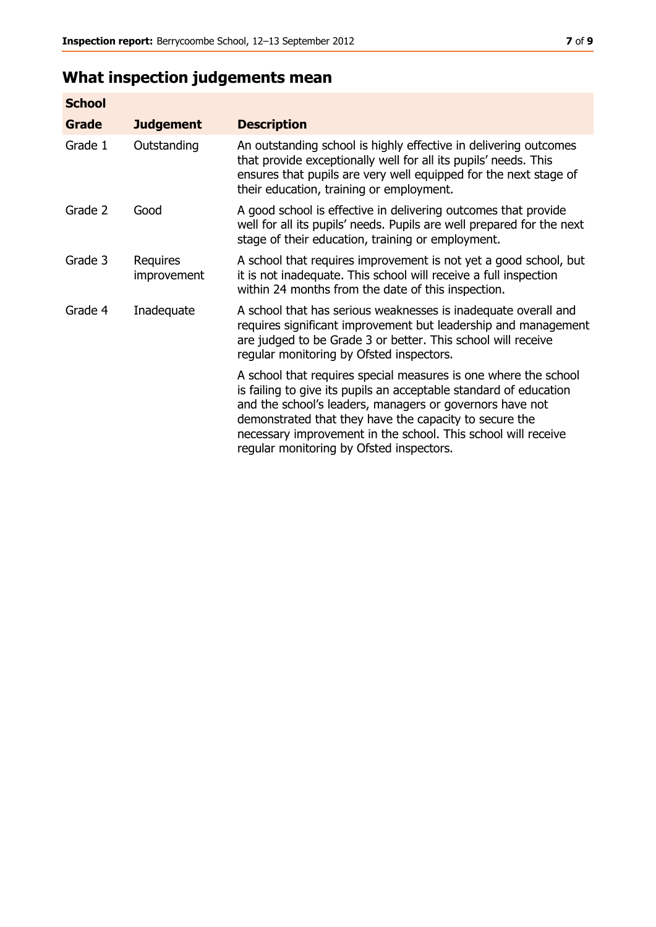## **What inspection judgements mean**

| <b>School</b> |                         |                                                                                                                                                                                                                                                                                                                                                                         |
|---------------|-------------------------|-------------------------------------------------------------------------------------------------------------------------------------------------------------------------------------------------------------------------------------------------------------------------------------------------------------------------------------------------------------------------|
| Grade         | <b>Judgement</b>        | <b>Description</b>                                                                                                                                                                                                                                                                                                                                                      |
| Grade 1       | Outstanding             | An outstanding school is highly effective in delivering outcomes<br>that provide exceptionally well for all its pupils' needs. This<br>ensures that pupils are very well equipped for the next stage of<br>their education, training or employment.                                                                                                                     |
| Grade 2       | Good                    | A good school is effective in delivering outcomes that provide<br>well for all its pupils' needs. Pupils are well prepared for the next<br>stage of their education, training or employment.                                                                                                                                                                            |
| Grade 3       | Requires<br>improvement | A school that requires improvement is not yet a good school, but<br>it is not inadequate. This school will receive a full inspection<br>within 24 months from the date of this inspection.                                                                                                                                                                              |
| Grade 4       | Inadequate              | A school that has serious weaknesses is inadequate overall and<br>requires significant improvement but leadership and management<br>are judged to be Grade 3 or better. This school will receive<br>regular monitoring by Ofsted inspectors.                                                                                                                            |
|               |                         | A school that requires special measures is one where the school<br>is failing to give its pupils an acceptable standard of education<br>and the school's leaders, managers or governors have not<br>demonstrated that they have the capacity to secure the<br>necessary improvement in the school. This school will receive<br>regular monitoring by Ofsted inspectors. |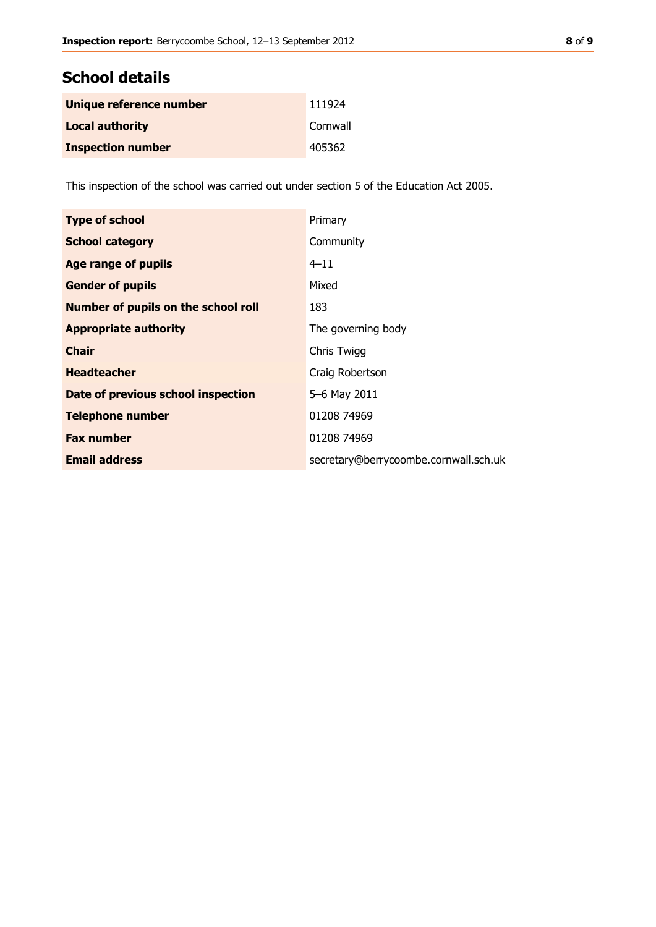### **School details**

| Unique reference number  | 111924   |
|--------------------------|----------|
| <b>Local authority</b>   | Cornwall |
| <b>Inspection number</b> | 405362   |

This inspection of the school was carried out under section 5 of the Education Act 2005.

| <b>Type of school</b>                      | Primary                               |
|--------------------------------------------|---------------------------------------|
| <b>School category</b>                     | Community                             |
| Age range of pupils                        | $4 - 11$                              |
| <b>Gender of pupils</b>                    | Mixed                                 |
| <b>Number of pupils on the school roll</b> | 183                                   |
| <b>Appropriate authority</b>               | The governing body                    |
| <b>Chair</b>                               | Chris Twigg                           |
| <b>Headteacher</b>                         | Craig Robertson                       |
| Date of previous school inspection         | 5-6 May 2011                          |
| <b>Telephone number</b>                    | 01208 74969                           |
| <b>Fax number</b>                          | 01208 74969                           |
| <b>Email address</b>                       | secretary@berrycoombe.cornwall.sch.uk |